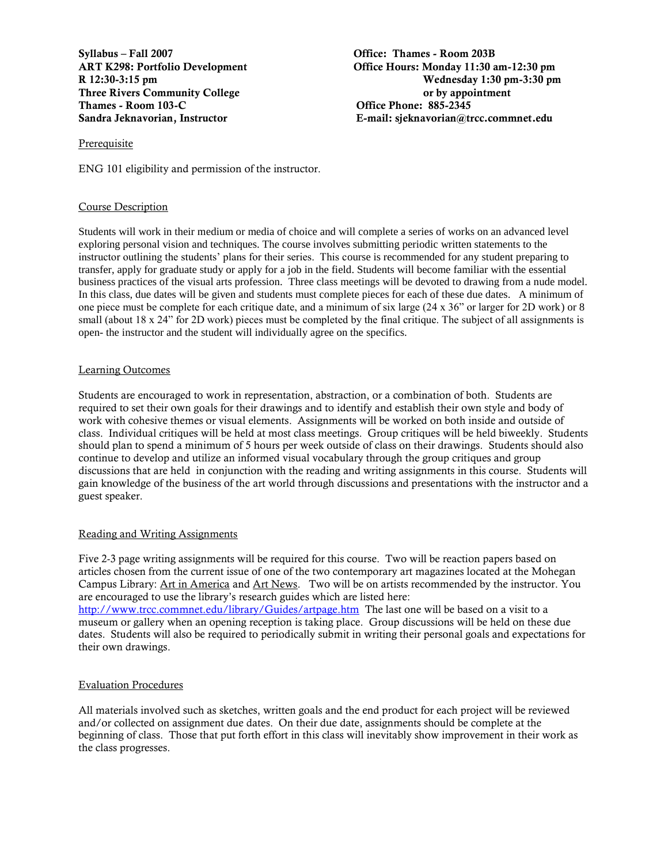Syllabus – Fall 2007 Office: Thames - Room 203B Three Rivers Community College **or by appointment** or by appointment Thames - Room 103-C COME CONSERVING TO CHILD CONSERVED A CONSERVED AND RESIDENCE PHONE: 885-2345

ART K298: Portfolio Development Office Hours: Monday 11:30 am-12:30 pm R 12:30-3:15 pm Wednesday 1:30 pm-3:30 pm Sandra Jeknavorian, Instructor **E-mail: sjeknavorian@trcc.commnet.edu** 

### Prerequisite

ENG 101 eligibility and permission of the instructor.

### Course Description

Students will work in their medium or media of choice and will complete a series of works on an advanced level exploring personal vision and techniques. The course involves submitting periodic written statements to the instructor outlining the students' plans for their series. This course is recommended for any student preparing to transfer, apply for graduate study or apply for a job in the field. Students will become familiar with the essential business practices of the visual arts profession. Three class meetings will be devoted to drawing from a nude model. In this class, due dates will be given and students must complete pieces for each of these due dates. A minimum of one piece must be complete for each critique date, and a minimum of six large (24 x 36" or larger for 2D work) or 8 small (about 18 x 24" for 2D work) pieces must be completed by the final critique. The subject of all assignments is open- the instructor and the student will individually agree on the specifics.

### Learning Outcomes

Students are encouraged to work in representation, abstraction, or a combination of both. Students are required to set their own goals for their drawings and to identify and establish their own style and body of work with cohesive themes or visual elements. Assignments will be worked on both inside and outside of class. Individual critiques will be held at most class meetings. Group critiques will be held biweekly. Students should plan to spend a minimum of 5 hours per week outside of class on their drawings. Students should also continue to develop and utilize an informed visual vocabulary through the group critiques and group discussions that are held in conjunction with the reading and writing assignments in this course. Students will gain knowledge of the business of the art world through discussions and presentations with the instructor and a guest speaker.

## Reading and Writing Assignments

Five 2-3 page writing assignments will be required for this course. Two will be reaction papers based on articles chosen from the current issue of one of the two contemporary art magazines located at the Mohegan Campus Library: Art in America and Art News. Two will be on artists recommended by the instructor. You are encouraged to use the library's research guides which are listed here: <http://www.trcc.commnet.edu/library/Guides/artpage.htm>The last one will be based on a visit to a

museum or gallery when an opening reception is taking place. Group discussions will be held on these due dates. Students will also be required to periodically submit in writing their personal goals and expectations for their own drawings.

## Evaluation Procedures

All materials involved such as sketches, written goals and the end product for each project will be reviewed and/or collected on assignment due dates. On their due date, assignments should be complete at the beginning of class. Those that put forth effort in this class will inevitably show improvement in their work as the class progresses.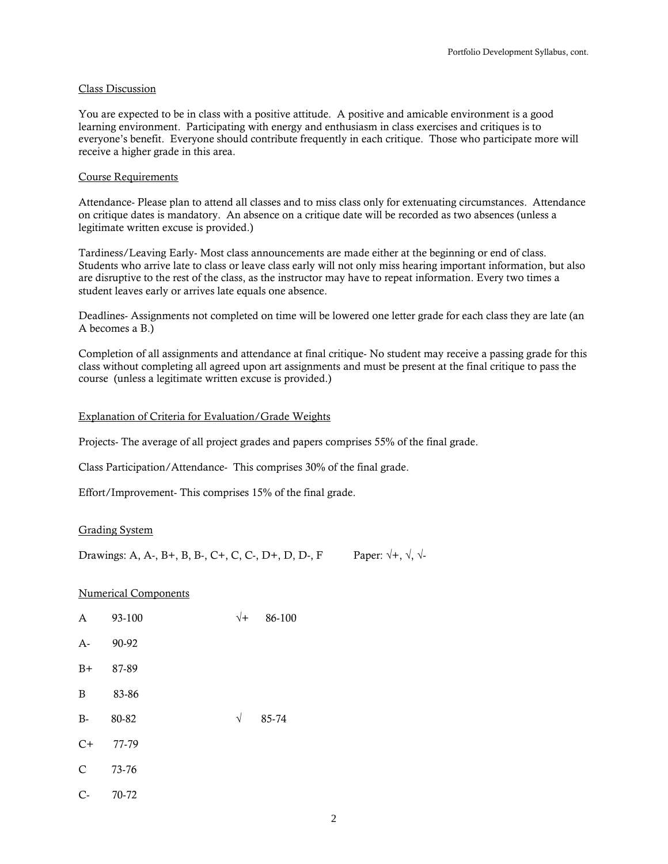## Class Discussion

You are expected to be in class with a positive attitude. A positive and amicable environment is a good learning environment. Participating with energy and enthusiasm in class exercises and critiques is to everyone's benefit. Everyone should contribute frequently in each critique. Those who participate more will receive a higher grade in this area.

## Course Requirements

Attendance- Please plan to attend all classes and to miss class only for extenuating circumstances. Attendance on critique dates is mandatory. An absence on a critique date will be recorded as two absences (unless a legitimate written excuse is provided.)

Tardiness/Leaving Early- Most class announcements are made either at the beginning or end of class. Students who arrive late to class or leave class early will not only miss hearing important information, but also are disruptive to the rest of the class, as the instructor may have to repeat information. Every two times a student leaves early or arrives late equals one absence.

Deadlines- Assignments not completed on time will be lowered one letter grade for each class they are late (an A becomes a B.)

Completion of all assignments and attendance at final critique- No student may receive a passing grade for this class without completing all agreed upon art assignments and must be present at the final critique to pass the course (unless a legitimate written excuse is provided.)

### Explanation of Criteria for Evaluation/Grade Weights

Projects- The average of all project grades and papers comprises 55% of the final grade.

Class Participation/Attendance- This comprises 30% of the final grade.

Effort/Improvement- This comprises 15% of the final grade.

## Grading System

Drawings: A, A-, B+, B, B-, C+, C, C-, D+, D, D-, F Paper:  $\sqrt{+}$ ,  $\sqrt{}$ ,  $\sqrt{-}$ 

Numerical Components

| A             | 93-100 | $\sqrt{+}$ | 86-100 |
|---------------|--------|------------|--------|
| $A-$          | 90-92  |            |        |
| $B+$          | 87-89  |            |        |
| B             | 83-86  |            |        |
| <b>B-</b>     | 80-82  | $\sqrt{}$  | 85-74  |
| $C+$          | 77-79  |            |        |
| $\mathcal{C}$ | 73-76  |            |        |
| C-            | 70-72  |            |        |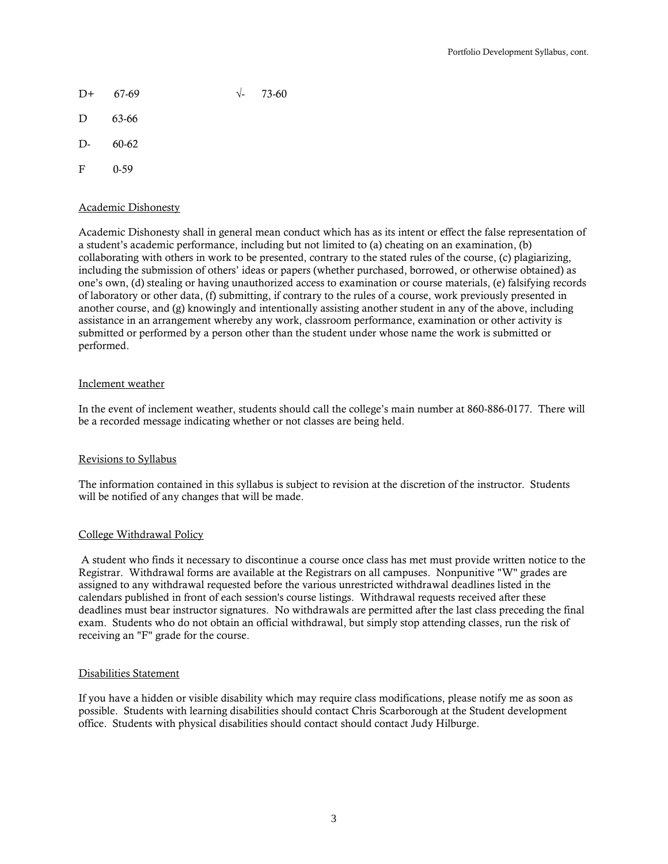D+  $67-69$   $\sqrt{2}$  73-60 D 63-66 D- 60-62 F 0-59

### Academic Dishonesty

Academic Dishonesty shall in general mean conduct which has as its intent or effect the false representation of a student's academic performance, including but not limited to (a) cheating on an examination, (b) collaborating with others in work to be presented, contrary to the stated rules of the course, (c) plagiarizing, including the submission of others' ideas or papers (whether purchased, borrowed, or otherwise obtained) as one's own, (d) stealing or having unauthorized access to examination or course materials, (e) falsifying records of laboratory or other data, (f) submitting, if contrary to the rules of a course, work previously presented in another course, and (g) knowingly and intentionally assisting another student in any of the above, including assistance in an arrangement whereby any work, classroom performance, examination or other activity is submitted or performed by a person other than the student under whose name the work is submitted or performed.

### Inclement weather

In the event of inclement weather, students should call the college's main number at 860-886-0177. There will be a recorded message indicating whether or not classes are being held.

#### Revisions to Syllabus

The information contained in this syllabus is subject to revision at the discretion of the instructor. Students will be notified of any changes that will be made.

#### College Withdrawal Policy

A student who finds it necessary to discontinue a course once class has met must provide written notice to the Registrar. Withdrawal forms are available at the Registrars on all campuses. Nonpunitive "W" grades are assigned to any withdrawal requested before the various unrestricted withdrawal deadlines listed in the calendars published in front of each session's course listings. Withdrawal requests received after these deadlines must bear instructor signatures. No withdrawals are permitted after the last class preceding the final exam. Students who do not obtain an official withdrawal, but simply stop attending classes, run the risk of receiving an "F" grade for the course.

#### Disabilities Statement

If you have a hidden or visible disability which may require class modifications, please notify me as soon as possible. Students with learning disabilities should contact Chris Scarborough at the Student development office. Students with physical disabilities should contact should contact Judy Hilburge.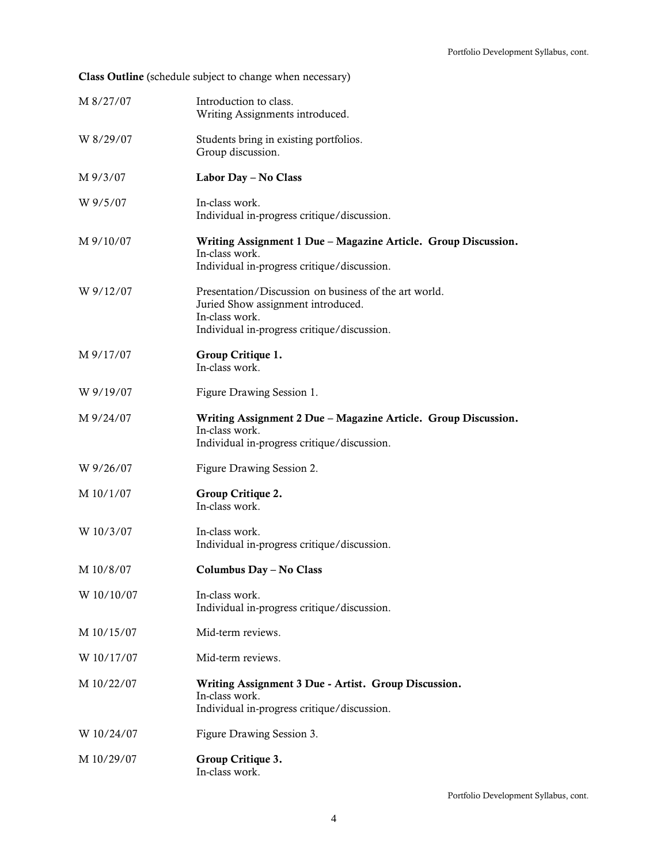Class Outline (schedule subject to change when necessary)

| M 8/27/07  | Introduction to class.<br>Writing Assignments introduced.                                                                                                    |
|------------|--------------------------------------------------------------------------------------------------------------------------------------------------------------|
| W 8/29/07  | Students bring in existing portfolios.<br>Group discussion.                                                                                                  |
| M 9/3/07   | Labor Day - No Class                                                                                                                                         |
| W 9/5/07   | In-class work.<br>Individual in-progress critique/discussion.                                                                                                |
| M 9/10/07  | Writing Assignment 1 Due - Magazine Article. Group Discussion.<br>In-class work.<br>Individual in-progress critique/discussion.                              |
| W 9/12/07  | Presentation/Discussion on business of the art world.<br>Juried Show assignment introduced.<br>In-class work.<br>Individual in-progress critique/discussion. |
| M 9/17/07  | Group Critique 1.<br>In-class work.                                                                                                                          |
| W 9/19/07  | Figure Drawing Session 1.                                                                                                                                    |
| M 9/24/07  | Writing Assignment 2 Due - Magazine Article. Group Discussion.<br>In-class work.<br>Individual in-progress critique/discussion.                              |
| W 9/26/07  | Figure Drawing Session 2.                                                                                                                                    |
| M 10/1/07  | Group Critique 2.<br>In-class work.                                                                                                                          |
| W 10/3/07  | In-class work.<br>Individual in-progress critique/discussion.                                                                                                |
| M 10/8/07  | Columbus Day - No Class                                                                                                                                      |
| W 10/10/07 | In-class work.<br>Individual in-progress critique/discussion.                                                                                                |
| M 10/15/07 | Mid-term reviews.                                                                                                                                            |
| W 10/17/07 | Mid-term reviews.                                                                                                                                            |
| M 10/22/07 | Writing Assignment 3 Due - Artist. Group Discussion.<br>In-class work.<br>Individual in-progress critique/discussion.                                        |
| W 10/24/07 | Figure Drawing Session 3.                                                                                                                                    |
| M 10/29/07 | Group Critique 3.<br>In-class work.                                                                                                                          |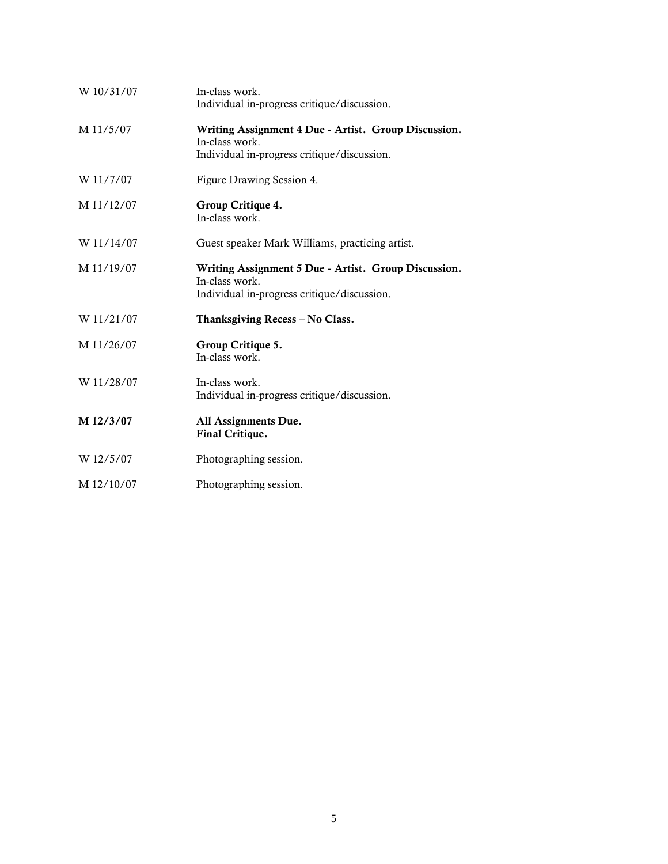| W 10/31/07 | In-class work.<br>Individual in-progress critique/discussion.                                                         |
|------------|-----------------------------------------------------------------------------------------------------------------------|
| M 11/5/07  | Writing Assignment 4 Due - Artist. Group Discussion.<br>In-class work.<br>Individual in-progress critique/discussion. |
| W 11/7/07  | Figure Drawing Session 4.                                                                                             |
| M 11/12/07 | Group Critique 4.<br>In-class work.                                                                                   |
| W 11/14/07 | Guest speaker Mark Williams, practicing artist.                                                                       |
| M 11/19/07 | Writing Assignment 5 Due - Artist. Group Discussion.<br>In-class work.<br>Individual in-progress critique/discussion. |
| W 11/21/07 | Thanksgiving Recess - No Class.                                                                                       |
| M 11/26/07 | Group Critique 5.<br>In-class work.                                                                                   |
| W 11/28/07 | In-class work.<br>Individual in-progress critique/discussion.                                                         |
| M 12/3/07  | All Assignments Due.<br>Final Critique.                                                                               |
| W 12/5/07  | Photographing session.                                                                                                |
| M 12/10/07 | Photographing session.                                                                                                |